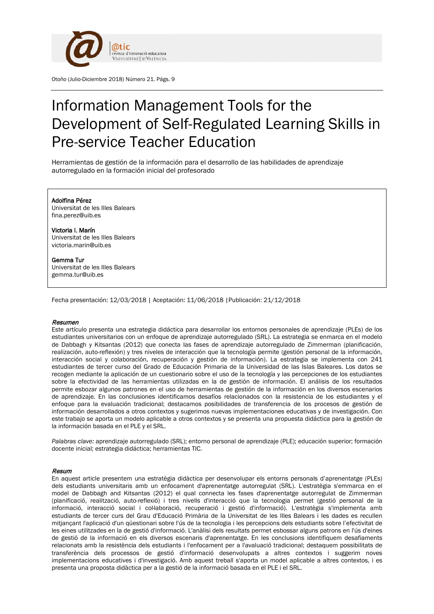

Otoño (Julio-Diciembre 2018) Número 21. Págs. 9

# Information Management Tools for the Development of Self-Regulated Learning Skills in Pre-service Teacher Education

Herramientas de gestión de la información para el desarrollo de las habilidades de aprendizaje autorregulado en la formación inicial del profesorado

## Adolfina Pérez

Universitat de les Illes Balears fina.perez@uib.es

Victoria I. Marín Universitat de les Illes Balears victoria.marin@uib.es

Gemma Tur Universitat de les Illes Balears gemma.tur@uib.es

Fecha presentación: 12/03/2018 | Aceptación: 11/06/2018 |Publicación: 21/12/2018

#### Resumen

Este artículo presenta una estrategia didáctica para desarrollar los entornos personales de aprendizaje (PLEs) de los estudiantes universitarios con un enfoque de aprendizaje autorregulado (SRL). La estrategia se enmarca en el modelo de Dabbagh y Kitsantas (2012) que conecta las fases de aprendizaje autorregulado de Zimmerman (planificación, realización, auto-reflexión) y tres niveles de interacción que la tecnología permite (gestión personal de la información, interacción social y colaboración, recuperación y gestión de información). La estrategia se implementa con 241 estudiantes de tercer curso del Grado de Educación Primaria de la Universidad de las Islas Baleares. Los datos se recogen mediante la aplicación de un cuestionario sobre el uso de la tecnología y las percepciones de los estudiantes sobre la efectividad de las herramientas utilizadas en la de gestión de información. El análisis de los resultados permite esbozar algunos patrones en el uso de herramientas de gestión de la información en los diversos escenarios de aprendizaje. En las conclusiones identificamos desafíos relacionados con la resistencia de los estudiantes y el enfoque para la evaluación tradicional; destacamos posibilidades de transferencia de los procesos de gestión de información desarrollados a otros contextos y sugerimos nuevas implementaciones educativas y de investigación. Con este trabajo se aporta un modelo aplicable a otros contextos y se presenta una propuesta didáctica para la gestión de la información basada en el PLE y el SRL.

*Palabras clave:* aprendizaje autorregulado (SRL); entorno personal de aprendizaje (PLE); educación superior; formación docente inicial; estrategia didáctica; herramientas TIC.

#### Resum

En aquest article presentem una estratègia didàctica per desenvolupar els entorns personals d'aprenentatge (PLEs) dels estudiants universitaris amb un enfocament d'aprenentatge autorregulat (SRL). L'estratègia s'emmarca en el model de Dabbagh and Kitsantas (2012) el qual connecta les fases d'aprenentatge autorregulat de Zimmerman (planificació, realització, auto-reflexió) i tres nivells d'interacció que la tecnologia permet (gestió personal de la informació, interacció social i col·laboració, recuperació i gestió d'informació). L'estratègia s'implementa amb estudiants de tercer curs del Grau d'Educació Primària de la Universitat de les Illes Balears i les dades es recullen mitjançant l'aplicació d'un qüestionari sobre l'ús de la tecnologia i les percepcions dels estudiants sobre l'efectivitat de les eines utilitzades en la de gestió d'informació. L'anàlisi dels resultats permet esbossar alguns patrons en l'ús d'eines de gestió de la informació en els diversos escenaris d'aprenentatge. En les conclusions identifiquem desafiaments relacionats amb la resistència dels estudiants i l'enfocament per a l'avaluació tradicional; destaquem possibilitats de transferència dels processos de gestió d'informació desenvolupats a altres contextos i suggerim noves implementacions educatives i d'investigació. Amb aquest treball s'aporta un model aplicable a altres contextos, i es presenta una proposta didàctica per a la gestió de la informació basada en el PLE i el SRL.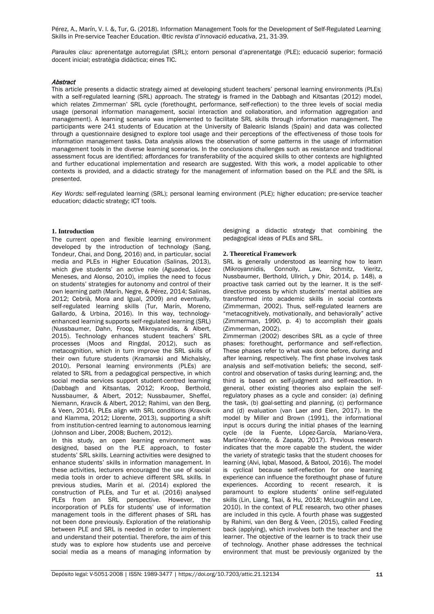*Paraules clau:* aprenentatge autorregulat (SRL); entorn personal d'aprenentatge (PLE); educació superior; formació docent inicial; estratègia didàctica; eines TIC.

## Abstract

This article presents a didactic strategy aimed at developing student teachers' personal learning environments (PLEs) with a self-regulated learning (SRL) approach. The strategy is framed in the Dabbagh and Kitsantas (2012) model, which relates Zimmerman' SRL cycle (forethought, performance, self-reflection) to the three levels of social media usage (personal information management, social interaction and collaboration, and information aggregation and management). A learning scenario was implemented to facilitate SRL skills through information management. The participants were 241 students of Education at the University of Balearic Islands (Spain) and data was collected through a questionnaire designed to explore tool usage and their perceptions of the effectiveness of those tools for information management tasks. Data analysis allows the observation of some patterns in the usage of information management tools in the diverse learning scenarios. In the conclusions challenges such as resistance and traditional assessment focus are identified; affordances for transferability of the acquired skills to other contexts are highlighted and further educational implementation and research are suggested. With this work, a model applicable to other contexts is provided, and a didactic strategy for the management of information based on the PLE and the SRL is presented.

*Key Words:* self-regulated learning (SRL); personal learning environment (PLE); higher education; pre-service teacher education; didactic strategy; ICT tools.

# **1. Introduction**

The current open and flexible learning environment developed by the introduction of technology (Sang, Tondeur, Chai, and Dong, 2016) and, in particular, social media and PLEs in Higher Education (Salinas, 2013), which give students' an active role (Aguaded, López Meneses, and Alonso, 2010), implies the need to focus on students' strategies for autonomy and control of their own learning path (Marín, Negre, & Pérez, 2014; Salinas, 2012; Cebrià, Mora and Igual, 2009) and eventually, self-regulated learning skills (Tur, Marín, Moreno, Gallardo, & Urbina, 2016). In this way, technologyenhanced learning supports self-regulated learning (SRL) (Nussbaumer, Dahn, Froop, Mikroyannidis, & Albert, 2015). Technology enhances student teachers' SRL processes (Moos and Ringdal, 2012), such as metacognition, which in turn improve the SRL skills of their own future students (Kramarski and Michalsky, 2010). Personal learning environments (PLEs) are related to SRL from a pedagogical perspective, in which social media services support student-centred learning (Dabbagh and Kitsantas, 2012; Kroop, Berthold, Nussbaumer, & Albert, 2012; Nussbaumer, Sheffel, Niemann, Kravcik & Albert, 2012; Rahimi, van den Berg, & Veen, 2014). PLEs align with SRL conditions (Kravcik and Klamma, 2012; Llorente, 2013), supporting a shift from institution-centred learning to autonomous learning (Johnson and Liber, 2008; Buchem, 2012).

In this study, an open learning environment was designed, based on the PLE approach, to foster students' SRL skills. Learning activities were designed to enhance students' skills in information management. In these activities, lecturers encouraged the use of social media tools in order to achieve different SRL skills. In previous studies, Marín et al. (2014) explored the construction of PLEs, and Tur et al. (2016) analysed PLEs from an SRL perspective. However, the incorporation of PLEs for students' use of information management tools in the different phases of SRL has not been done previously. Exploration of the relationship between PLE and SRL is needed in order to implement and understand their potential. Therefore, the aim of this study was to explore how students use and perceive social media as a means of managing information by designing a didactic strategy that combining the pedagogical ideas of PLEs and SRL.

#### **2. Theoretical Framework**

SRL is generally understood as learning how to learn (Mikroyannidis, Connolly, Law, Schmitz, Vieritz, Nussbaumer, Berthold, Ullrich, y Dhir, 2014, p. 148), a proactive task carried out by the learner. It is the selfdirective process by which students' mental abilities are transformed into academic skills in social contexts (Zimmerman, 2002). Thus, self-regulated learners are "metacognitively, motivationally, and behaviorally" active (Zimmerman, 1990, p. 4) to accomplish their goals (Zimmerman, 2002).

Zimmerman (2002) describes SRL as a cycle of three phases: forethought, performance and self-reflection. These phases refer to what was done before, during and after learning, respectively. The first phase involves task analysis and self-motivation beliefs; the second, selfcontrol and observation of tasks during learning; and, the third is based on self-judgment and self-reaction. In general, other existing theories also explain the selfregulatory phases as a cycle and consider: (a) defining the task, (b) goal-setting and planning, (c) performance and (d) evaluation (van Laer and Elen, 2017). In the model by Miller and Brown (1991), the informational input is occurs during the initial phases of the learning cycle (de la Fuente, López-García, Mariano-Vera, Martínez-Vicente, & Zapata, 2017). Previous research indicates that the more capable the student, the wider the variety of strategic tasks that the student chooses for learning (Alvi, Iqbal, Masood, & Batool, 2016). The model is cyclical because self-reflection for one learning experience can influence the forethought phase of future experiences. According to recent research, it is paramount to explore students' online self-regulated skills (Lin, Liang, Tsai, & Hu, 2018; McLoughlin and Lee, 2010). In the context of PLE research, two other phases are included in this cycle. A fourth phase was suggested by Rahimi, van den Berg & Veen, (2015), called Feeding back (applying), which involves both the teacher and the learner. The objective of the learner is to track their use of technology. Another phase addresses the technical environment that must be previously organized by the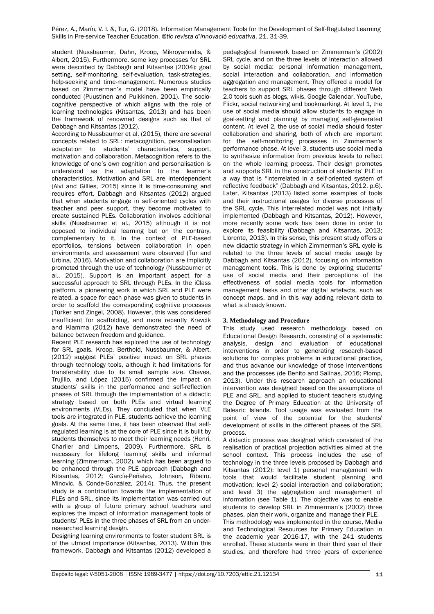student (Nussbaumer, Dahn, Kroop, Mikroyannidis, & Albert, 2015). Furthermore, some key processes for SRL were described by Dabbagh and Kitsantas (2004): goal setting, self-monitoring, self-evaluation, task-strategies, help-seeking and time-management. Numerous studies based on Zimmerman's model have been empirically conducted (Puustinen and Pulkkinen, 2001). The sociocognitive perspective of which aligns with the role of learning technologies (Kitsantas, 2013) and has been the framework of renowned designs such as that of Dabbagh and Kitsantas (2012).

According to Nussbaumer et al. (2015), there are several concepts related to SRL: metacognition, personalisation adaptation to students' characteristics, support, adaptation to students' characteristics, motivation and collaboration. Metacognition refers to the knowledge of one's own cognition and personalisation is understood as the adaptation to the learner's characteristics. Motivation and SRL are interdependent (Alvi and Gillies, 2015) since it is time-consuming and requires effort. Dabbagh and Kitsantas (2012) argued that when students engage in self-oriented cycles with teacher and peer support, they become motivated to create sustained PLEs. Collaboration involves additional skills (Nussbaumer et al., 2015) although it is not opposed to individual learning but on the contrary, complementary to it. In the context of PLE-based eportfolios, tensions between collaboration in open environments and assessment were observed (Tur and Urbina, 2016). Motivation and collaboration are implicitly promoted through the use of technology (Nussbaumer et al., 2015). Support is an important aspect for a successful approach to SRL through PLEs. In the iClass platform, a pioneering work in which SRL and PLE were related, a space for each phase was given to students in order to scaffold the corresponding cognitive processes (Türker and Zingel, 2008). However, this was considered insufficient for scaffolding, and more recently Kravcik and Klamma (2012) have demonstrated the need of balance between freedom and guidance.

Recent PLE research has explored the use of technology for SRL goals. Kroop, Berthold, Nussbaumer, & Albert, (2012) suggest PLEs' positive impact on SRL phases through technology tools, although it had limitations for transferability due to its small sample size. Chaves, Trujillo, and López (2015) confirmed the impact on students' skills in the performance and self-reflection phases of SRL through the implementation of a didactic strategy based on both PLEs and virtual learning environments (VLEs). They concluded that when VLE tools are integrated in PLE, students achieve the learning goals. At the same time, it has been observed that selfregulated learning is at the core of PLE since it is built by students themselves to meet their learning needs (Henri, Charlier and Limpens, 2009). Furthermore, SRL is necessary for lifelong learning skills and informal learning (Zimmerman, 2002), which has been argued to be enhanced through the PLE approach (Dabbagh and Kitsantas, 2012; García-Peñalvo, Johnson, Ribeiro, Minovic, & Conde-González, 2014). Thus, the present study is a contribution towards the implementation of PLEs and SRL, since its implementation was carried out with a group of future primary school teachers and explores the impact of information management tools of students' PLEs in the three phases of SRL from an underresearched learning design.

Designing learning environments to foster student SRL is of the utmost importance (Kitsantas, 2013). Within this framework, Dabbagh and Kitsantas (2012) developed a

pedagogical framework based on Zimmerman's (2002) SRL cycle, and on the three levels of interaction allowed by social media: personal information management, social interaction and collaboration, and information aggregation and management. They offered a model for teachers to support SRL phases through different Web 2.0 tools such as blogs, wikis, Google Calendar, YouTube, Flickr, social networking and bookmarking. At level 1, the use of social media should allow students to engage in goal-setting and planning by managing self-generated content. At level 2, the use of social media should foster collaboration and sharing, both of which are important for the self-monitoring processes in Zimmerman's performance phase. At level 3, students use social media to synthesize information from previous levels to reflect on the whole learning process. Their design promotes and supports SRL in the construction of students' PLE in a way that is "interrelated in a self-oriented system of reflective feedback" (Dabbagh and Kitsantas, 2012, p.6). Later, Kitsantas (2013) listed some examples of tools and their instructional usages for diverse processes of the SRL cycle. This interrelated model was not initially implemented (Dabbagh and Kitsantas, 2012). However, more recently some work has been done in order to explore its feasibility (Dabbagh and Kitsantas, 2013; Llorente, 2013). In this sense, this present study offers a new didactic strategy in which Zimmerman's SRL cycle is related to the three levels of social media usage by Dabbagh and Kitsantas (2012), focusing on information management tools. This is done by exploring students' use of social media and their perceptions of the effectiveness of social media tools for information management tasks and other digital artefacts, such as concept maps, and in this way adding relevant data to what is already known.

# **3. Methodology and Procedure**

This study used research methodology based on Educational Design Research, consisting of a systematic analysis, design and evaluation of educational interventions in order to generating research-based solutions for complex problems in educational practice, and thus advance our knowledge of those interventions and the processes (de Benito and Salinas, 2016; Plomp, 2013). Under this research approach an educational intervention was designed based on the assumptions of PLE and SRL, and applied to student teachers studying the Degree of Primary Education at the University of Balearic Islands. Tool usage was evaluated from the point of view of the potential for the students' development of skills in the different phases of the SRL process.

A didactic process was designed which consisted of the realisation of practical projection activities aimed at the school context. This process includes the use of technology in the three levels proposed by Dabbagh and Kitsantas (2012): level 1) personal management with tools that would facilitate student planning and motivation; level 2) social interaction and collaboration; and level 3) the aggregation and management of information (see Table 1). The objective was to enable students to develop SRL in Zimmerman's (2002) three phases, plan their work, organize and manage their PLE.

This methodology was implemented in the course, Media and Technological Resources for Primary Education in the academic year 2016-17, with the 241 students enrolled. These students were in their third year of their studies, and therefore had three years of experience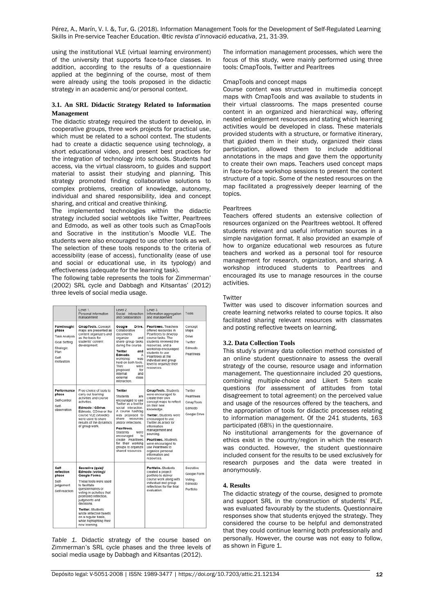using the institutional VLE (virtual learning environment) of the university that supports face-to-face classes. In addition, according to the results of a questionnaire applied at the beginning of the course, most of them were already using the tools proposed in the didactic strategy in an academic and/or personal context.

# **3.1. An SRL Didactic Strategy Related to Information Management**

The didactic strategy required the student to develop, in cooperative groups, three work projects for practical use, which must be related to a school context. The students had to create a didactic sequence using technology, a short educational video, and present best practices for the integration of technology into schools. Students had access, via the virtual classroom, to guides and support material to assist their studying and planning. This strategy promoted finding collaborative solutions to complex problems, creation of knowledge, autonomy, individual and shared responsibility, idea and concept sharing, and critical and creative thinking.

The implemented technologies within the didactic strategy included social webtools like Twitter, Pearltrees and Edmodo, as well as other tools such as CmapTools and Socrative in the institution's Moodle VLE. The students were also encouraged to use other tools as well. The selection of these tools responds to the criteria of accessibility (ease of access), functionality (ease of use and social or educational use, in its typology) and effectiveness (adequate for the learning task).

The following table represents the tools for Zimmerman' (2002) SRL cycle and Dabbagh and Kitsantas' (2012) three levels of social media usage.

|                                                                                                          | Level 1.<br>Personal information<br>management                                                                                                                                                                                                                                                                                      | Level 2.<br>Social interaction<br>and collaboration                                                                                                                                                                                                                                                                             | Level 3.<br>Information aggregation<br>and management                                                                                                                                                                                                                                                                                                                 | Tools                                                              |
|----------------------------------------------------------------------------------------------------------|-------------------------------------------------------------------------------------------------------------------------------------------------------------------------------------------------------------------------------------------------------------------------------------------------------------------------------------|---------------------------------------------------------------------------------------------------------------------------------------------------------------------------------------------------------------------------------------------------------------------------------------------------------------------------------|-----------------------------------------------------------------------------------------------------------------------------------------------------------------------------------------------------------------------------------------------------------------------------------------------------------------------------------------------------------------------|--------------------------------------------------------------------|
| Forethought<br>phase<br><b>Task Analysis</b><br>Goal Setting<br>Strategic<br>Plan<br>Self-<br>motivation | CmapTools, Concept<br>maps are presented as<br>content organizers and<br>as the basis for<br>students' content<br>development.                                                                                                                                                                                                      | Google<br>Drive.<br>Collaborative<br>documents<br>organize<br>and<br>share group tasks<br>during the course.<br>Twitter<br>and<br>Edmodo.<br>А<br>workshop<br>was<br>held on both tools.<br>They<br>were<br>for<br>proposed<br>internal<br>and<br>class<br>external<br>interaction.                                             | Pearitrees, Teachers<br>offered resources in<br>Pearltrees to develop<br>course tasks. The<br>students reviewed the<br>resources, and a<br>workshop encouraged<br>students to use<br>Pearltrees at the<br>individual and group<br>level to organize their<br>resources.                                                                                               | Concept<br>Maps<br><b>Drive</b><br>Twitter<br>Edmodo<br>Pearltrees |
| Performance<br>phase<br>Self-control<br>Self-<br>observation                                             | Free choice of tools to<br>carry out learning<br>activities and course<br>activities.<br>Edmodo / GDrive.<br>Edmodo. GDrive or the<br>course VLE (Moodle)<br>were used to share<br>results of the dynamics<br>of group work.                                                                                                        | Twitter<br>Students<br>are<br>encouraged to use<br>Twitter as a tool for<br>social interaction.<br>A course hashtag<br>was proposed to<br>share<br>resources<br>and/or reflections.<br>Pearltrees.<br>Students<br>were<br>encouraged<br>to<br>create Pearltrees<br>for their working<br>groups to organize<br>shared resources. | CmapTools. Students<br>were encouraged to<br>create their own<br>concept maps to reflect<br>on their new<br>knowledge.<br>Twitter. Students were<br>encouraged to use<br>Twitter as a tool for<br>information<br>management and<br>sourcing.<br>Pearltrees, Students<br>were encouraged to<br>use Pearltrees to<br>organize personal<br>information and<br>resources. | Twitter<br>Pearitrees<br>CmapTools<br>Edmodo<br>Google Drive       |
| Self-<br>reflection<br>phase<br>Self-<br>judgement<br>Self-reaction                                      | Socrative (quiz)/<br>Edmodo (voting)/<br><b>Google Forms</b><br>These tools were used<br>to facilitate<br>questionnaires or<br>voting in activities that<br>promoted reflection,<br>judgments and<br>decisions.<br>Twitter, Students<br>wrote reflective tweets<br>on a regular basis,<br>while highlighting their<br>new learning. |                                                                                                                                                                                                                                                                                                                                 | Portfolio, Students<br>created a project<br>portfolio to deliver<br>course work along with<br>individual and group<br>reflections for the final<br>evaluation.                                                                                                                                                                                                        | Socrative<br>Google Form<br>Voting-<br>Edmodo<br>Portfolio         |

*Table 1.* Didactic strategy of the course based on Zimmerman's SRL cycle phases and the three levels of social media usage by Dabbagh and Kitsantas (2012).

The information management processes, which were the focus of this study, were mainly performed using three tools: CmapTools, Twitter and Pearltrees

## CmapTools and concept maps

Course content was structured in multimedia concept maps with CmapTools and was available to students in their virtual classrooms. The maps presented course content in an organized and hierarchical way, offering nested enlargement resources and stating which learning activities would be developed in class. These materials provided students with a structure, or formative itinerary, that guided them in their study, organized their class participation, allowed them to include additional annotations in the maps and gave them the opportunity to create their own maps. Teachers used concept maps in face-to-face workshop sessions to present the content structure of a topic. Some of the nested resources on the map facilitated a progressively deeper learning of the topics.

# **Pearltrees**

Teachers offered students an extensive collection of resources organized on the Pearltrees webtool. It offered students relevant and useful information sources in a simple navigation format. It also provided an example of how to organize educational web resources as future teachers and worked as a personal tool for resource management for research, organization, and sharing. A workshop introduced students to Pearltrees and encouraged its use to manage resources in the course activities.

# **Twitter**

Twitter was used to discover information sources and create learning networks related to course topics. It also facilitated sharing relevant resources with classmates and posting reflective tweets on learning.

# **3.2. Data Collection Tools**

This study's primary data collection method consisted of an online student questionnaire to assess the overall strategy of the course, resource usage and information management. The questionnaire included 20 questions, combining multiple-choice and Likert 5-item scale questions (for assessment of attitudes from total disagreement to total agreement) on the perceived value and usage of the resources offered by the teachers, and the appropriation of tools for didactic processes relating to information management. Of the 241 students, 163 participated (68%) in the questionnaire.

No institutional arrangements for the governance of ethics exist in the country/region in which the research was conducted. However, the student questionnaire included consent for the results to be used exclusively for research purposes and the data were treated in anonymously.

# **4. Results**

The didactic strategy of the course, designed to promote and support SRL in the construction of students' PLE, was evaluated favourably by the students. Questionnaire responses show that students enjoyed the strategy. They considered the course to be helpful and demonstrated that they could continue learning both professionally and personally. However, the course was not easy to follow, as shown in Figure 1.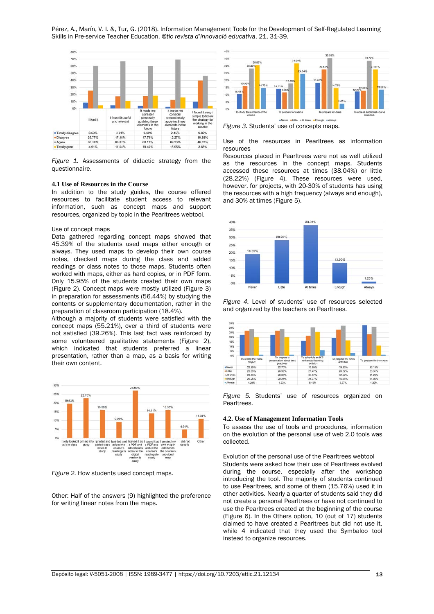

*Figure 1.* Assessments of didactic strategy from the questionnaire.

#### **4.1 Use of Resources in the Course**

In addition to the study guides, the course offered resources to facilitate student access to relevant information, such as concept maps and support resources, organized by topic in the Pearltrees webtool.

#### Use of concept maps

Data gathered regarding concept maps showed that 45.39% of the students used maps either enough or always. They used maps to develop their own course notes, checked maps during the class and added readings or class notes to those maps. Students often worked with maps, either as hard copies, or in PDF form. Only 15.95% of the students created their own maps (Figure 2). Concept maps were mostly utilized (Figure 3) in preparation for assessments (56.44%) by studying the contents or supplementary documentation, rather in the preparation of classroom participation (18.4%).

Although a majority of students were satisfied with the concept maps (55.21%), over a third of students were not satisfied (39.26%). This last fact was reinforced by some volunteered qualitative statements (Figure 2), which indicated that students preferred a linear presentation, rather than a map, as a basis for writing their own content.



*Figure 2.* How students used concept maps.

Other: Half of the answers (9) highlighted the preference for writing linear notes from the maps.



*Figure 3.* Students' use of concepts maps.

Use of the resources in Pearltrees as information resources

Resources placed in Pearltrees were not as well utilized as the resources in the concept maps. Students accessed these resources at times (38.04%) or little (28.22%) (Figure 4). These resources were used, however, for projects, with 20-30% of students has using the resources with a high frequency (always and enough), and 30% at times (Figure 5).



*Figure 4.* Level of students' use of resources selected and organized by the teachers on Pearltrees.



*Figure 5.* Students' use of resources organized on Pearltrees.

#### **4.2. Use of Management Information Tools**

To assess the use of tools and procedures, information on the evolution of the personal use of web 2.0 tools was collected.

Evolution of the personal use of the Pearltrees webtool Students were asked how their use of Pearltrees evolved during the course, especially after the workshop introducing the tool. The majority of students continued to use Pearltrees, and some of them (15.76%) used it in other activities. Nearly a quarter of students said they did not create a personal Pearltrees or have not continued to use the Pearltrees created at the beginning of the course (Figure 6). In the Others option, 10 (out of 17) students claimed to have created a Pearltrees but did not use it, while 4 indicated that they used the Symbaloo tool instead to organize resources.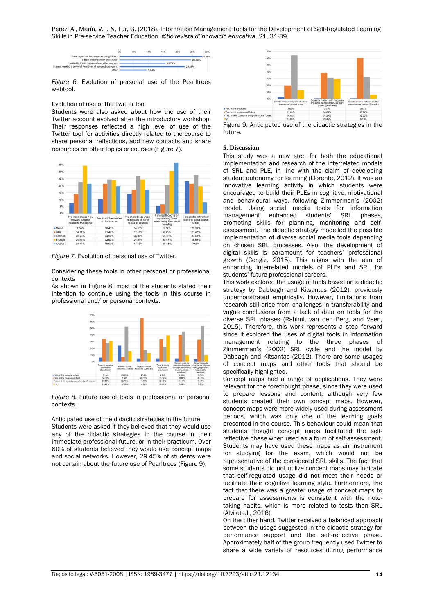

*Figure 6.* Evolution of personal use of the Pearltrees webtool.

#### Evolution of use of the Twitter tool

Students were also asked about how the use of their Twitter account evolved after the introductory workshop. Their responses reflected a high level of use of the Twitter tool for activities directly related to the course to share personal reflections, add new contacts and share resources on other topics or courses (Figure 7).



*Figure 7.* Evolution of personal use of Twitter.

Considering these tools in other personal or professional contexts

As shown in Figure 8, most of the students stated their intention to continue using the tools in this course in professional and/ or personal contexts.



*Figure 8.* Future use of tools in professional or personal contexts.

Anticipated use of the didactic strategies in the future Students were asked if they believed that they would use any of the didactic strategies in the course in their immediate professional future, or in their practicum. Over 60% of students believed they would use concept maps and social networks. However, 29.45% of students were not certain about the future use of Pearltrees (Figure 9).



Figure 9. Anticipated use of the didactic strategies in the future.

#### **5. Discussion**

This study was a new step for both the educational implementation and research of the interrelated models of SRL and PLE, in line with the claim of developing student autonomy for learning (Llorente, 2012). It was an innovative learning activity in which students were encouraged to build their PLEs in cognitive, motivational and behavioural ways, following Zimmerman's (2002) model. Using social media tools for information<br>management enhanced students' SRL phases, management enhanced students' promoting skills for planning, monitoring and selfassessment. The didactic strategy modelled the possible implementation of diverse social media tools depending on chosen SRL processes. Also, the development of digital skills is paramount for teachers' professional growth (Cengiz, 2015). This aligns with the aim of enhancing interrelated models of PLEs and SRL for students' future professional careers.

This work explored the usage of tools based on a didactic strategy by Dabbagh and Kitsantas (2012), previously undemonstrated empirically. However, limitations from research still arise from challenges in transferability and vague conclusions from a lack of data on tools for the diverse SRL phases (Rahimi, van den Berg, and Veen, 2015). Therefore, this work represents a step forward since it explored the uses of digital tools in information management relating to the three phases of Zimmerman's (2002) SRL cycle and the model by Dabbagh and Kitsantas (2012). There are some usages of concept maps and other tools that should be specifically highlighted.

Concept maps had a range of applications. They were relevant for the forethought phase, since they were used to prepare lessons and content, although very few students created their own concept maps. However, concept maps were more widely used during assessment periods, which was only one of the learning goals presented in the course. This behaviour could mean that students thought concept maps facilitated the selfreflective phase when used as a form of self-assessment. Students may have used these maps as an instrument for studying for the exam, which would not be representative of the considered SRL skills. The fact that some students did not utilize concept maps may indicate that self-regulated usage did not meet their needs or facilitate their cognitive learning style. Furthermore, the fact that there was a greater usage of concept maps to prepare for assessments is consistent with the notetaking habits, which is more related to tests than SRL (Alvi et al., 2016).

On the other hand, Twitter received a balanced approach between the usage suggested in the didactic strategy for performance support and the self-reflective phase. Approximately half of the group frequently used Twitter to share a wide variety of resources during performance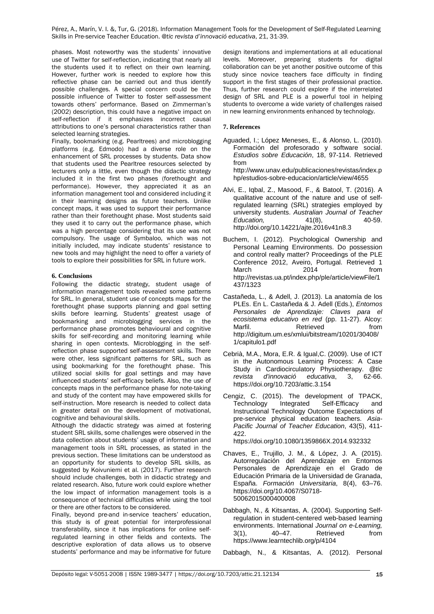phases. Most noteworthy was the students' innovative use of Twitter for self-reflection, indicating that nearly all the students used it to reflect on their own learning. However, further work is needed to explore how this reflective phase can be carried out and thus identify possible challenges. A special concern could be the possible influence of Twitter to foster self-assessment towards others' performance. Based on Zimmerman's (2002) description, this could have a negative impact on self-reflection if it emphasizes incorrect causal attributions to one's personal characteristics rather than selected learning strategies.

Finally, bookmarking (e.g. Pearltrees) and microblogging platforms (e.g. Edmodo) had a diverse role on the enhancement of SRL processes by students. Data show that students used the Pearltree resources selected by lecturers only a little, even though the didactic strategy included it in the first two phases (forethought and performance). However, they appreciated it as an information management tool and considered including it in their learning designs as future teachers. Unlike concept maps, it was used to support their performance rather than their forethought phase. Most students said they used it to carry out the performance phase, which was a high percentage considering that its use was not compulsory. The usage of Symbaloo, which was not initially included, may indicate students' resistance to new tools and may highlight the need to offer a variety of tools to explore their possibilities for SRL in future work.

# **6. Conclusions**

Following the didactic strategy, student usage of information management tools revealed some patterns for SRL. In general, student use of concepts maps for the forethought phase supports planning and goal setting skills before learning. Students' greatest usage of bookmarking and microblogging services in the performance phase promotes behavioural and cognitive skills for self-recording and monitoring learning while sharing in open contexts. Microblogging in the selfreflection phase supported self-assessment skills. There were other, less significant patterns for SRL, such as using bookmarking for the forethought phase. This utilized social skills for goal settings and may have influenced students' self-efficacy beliefs. Also, the use of concepts maps in the performance phase for note-taking and study of the content may have empowered skills for self-instruction. More research is needed to collect data in greater detail on the development of motivational, cognitive and behavioural skills.

Although the didactic strategy was aimed at fostering student SRL skills, some challenges were observed in the data collection about students' usage of information and management tools in SRL processes, as stated in the previous section. These limitations can be understood as an opportunity for students to develop SRL skills, as suggested by Koivuniemi et al. (2017). Further research should include challenges, both in didactic strategy and related research. Also, future work could explore whether the low impact of information management tools is a consequence of technical difficulties while using the tool or there are other factors to be considered.

Finally, beyond pre-and in-service teachers' education, this study is of great potential for interprofessional transferability, since it has implications for online selfregulated learning in other fields and contexts. The descriptive exploration of data allows us to observe students' performance and may be informative for future design iterations and implementations at all educational levels. Moreover, preparing students for digital collaboration can be yet another positive outcome of this study since novice teachers face difficulty in finding support in the first stages of their professional practice. Thus, further research could explore if the interrelated design of SRL and PLE is a powerful tool in helping students to overcome a wide variety of challenges raised in new learning environments enhanced by technology.

## **7. References**

Aguaded, I.; López Meneses, E., & Alonso, L. (2010). Formación del profesorado y software social. *Estudios sobre Educación*, 18, 97-114. Retrieved from http://www.unav.edu/publicaciones/revistas/index.p

hp/estudios-sobre-educacion/article/view/4655

- Alvi, E., Iqbal, Z., Masood, F., & Batool, T. (2016). A qualitative account of the nature and use of selfregulated learning (SRL) strategies employed by university students. *Australian Journal of Teacher Education,* http://doi.org/10.14221/ajte.2016v41n8.3
- Buchem, I. (2012). Psychological Ownership and Personal Learning Environments. Do possession and control really matter? Proceedings of the PLE Conference 2012, Aveiro, Portugal. Retrieved 1 March 2014 from http://revistas.ua.pt/index.php/ple/article/viewFile/1 437/1323
- Castañeda, L., & Adell, J. (2013). La anatomía de los PLEs. En L. Castañeda & J. Adell (Eds.), *Entornos Personales de Aprendizaje: Claves para el ecosistema educativo en red* (pp. 11-27). Alcoy: Marfil. Retrieved from http://digitum.um.es/xmlui/bitstream/10201/30408/ 1/capitulo1.pdf
- Cebrià, M.A., Mora, E.R. & Igual,C. (2009). Use of ICT in the Autonomous Learning Process: A Case Study in Cardiocirculatory Physiotherapy. *@tic*  revista d'innovació https://doi.org/10.7203/attic.3.154
- Cengiz, C. (2015). The development of TPACK,<br>Technology Integrated Self-Efficacy and Self-Efficacy Instructional Technology Outcome Expectations of pre-service physical education teachers. *Asia-Pacific Journal of Teacher Education*, 43(5), 411- 422.

https://doi.org/10.1080/1359866X.2014.932332

- Chaves, E., Trujillo, J. M., & López, J. A. (2015). Autorregulación del Aprendizaje en Entornos Personales de Aprendizaje en el Grado de Educación Primaria de la Universidad de Granada, España. *Formación Universitaria*, 8(4), 63–76. https://doi.org/10.4067/S0718- 50062015000400008
- Dabbagh, N., & Kitsantas, A. (2004). Supporting Selfregulation in student-centered web-based learning environments. International *Journal on e-Learning,*  3(1), 40–47. Retrieved https://www.learntechlib.org/p/4104

Dabbagh, N., & Kitsantas, A. (2012). Personal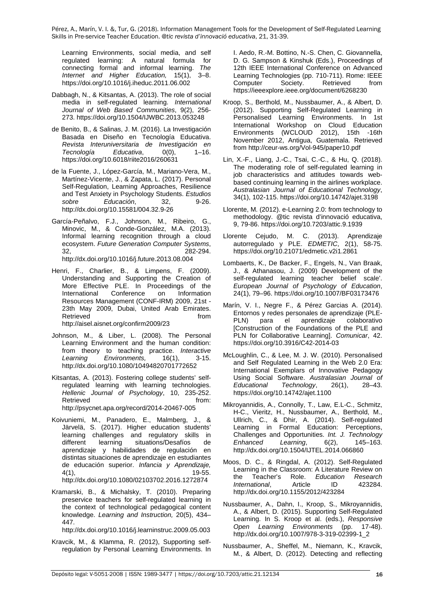Learning Environments, social media, and self regulated learning: A natural formula for connecting formal and informal learning. *The*  Internet and Higher Education, 15(1), https://doi.org/10.1016/j.iheduc.2011.06.002

- Dabbagh, N., & Kitsantas, A. (2013). The role of social media in self-regulated learning. *International Journal of Web Based Communities*, 9(2), 256- 273. https://doi.org/10.1504/IJWBC.2013.053248
- de Benito, B., & Salinas, J. M. (2016). La Investigación Basada en Diseño en Tecnología Educativa. *Revista Interuniversitaria de Investigación en*   $Tecnoloqía$ https://doi.org/10.6018/riite2016/260631
- de la Fuente, J., López-García, M., Mariano-Vera, M., Martínez-Vicente, J., & Zapata, L. (2017). Personal Self-Regulation, Learning Approaches, Resilience and Test Anxiety in Psychology Students. *Estudios*  Educación, http://dx.doi.org/10.15581/004.32.9-26
- García-Peñalvo, F.J., Johnson, M., Ribeiro, G., Minovic, M., & Conde-González, M.A. (2013). Informal learning recognition through a cloud ecosystem. *Future Generation Computer Systems*, 32, 282-294. http://dx.doi.org/10.1016/j.future.2013.08.004
- Henri, F., Charlier, B., & Limpens, F. (2009). Understanding and Supporting the Creation of More Effective PLE. In Proceedings of the International Conference on Information Resources Management (CONF-IRM) 2009, 21st - 23th May 2009, Dubai, United Arab Emirates. Retrieved **from** http://aisel.aisnet.org/confirm2009/23
- Johnson, M., & Liber, L. (2008). The Personal Learning Environment and the human condition: from theory to teaching practice. *Interactive Environments,* http://dx.doi.org/10.1080/10494820701772652
- Kitsantas, A. (2013). Fostering college students' selfregulated learning with learning technologies. *Hellenic Journal of Psychology*, 10, 235-252. Retrieved **from:** http://psycnet.apa.org/record/2014-20467-005
- Koivuniemi, M., Panadero, E., Malmberg, J., & Järvelä, S. (2017). Higher education students' learning challenges and regulatory skills in situations/Desafíos aprendizaje y habilidades de regulación en distintas situaciones de aprendizaje en estudiantes de educación superior. *Infancia y Aprendizaje,* 4(1), 19-55. http://dx.doi.org/10.1080/02103702.2016.1272874
- Kramarski, B., & Michalsky, T. (2010). Preparing preservice teachers for self-regulated learning in the context of technological pedagogical content knowledge. *Learning and Instruction,* 20(5), 434– 447.

http://dx.doi.org/10.1016/j.learninstruc.2009.05.003

Kravcik, M., & Klamma, R. (2012), Supporting selfregulation by Personal Learning Environments. In I. Aedo, R.-M. Bottino, N.-S. Chen, C. Giovannella, D. G. Sampson & Kinshuk (Eds.), Proceedings of 12th IEEE International Conference on Advanced Learning Technologies (pp. 710-711). Rome: IEEE<br>Computer Society. Retrieved from Computer https://ieeexplore.ieee.org/document/6268230

- Kroop, S., Berthold, M., Nussbaumer, A., & Albert, D. (2012). Supporting Self-Regulated Learning in Personalised Learning Environments. In 1st International Workshop on Cloud Education Environments (WCLOUD 2012), 15th -16th November 2012, Antigua, Guatemala. Retrieved from http://ceur-ws.org/Vol-945/paper10.pdf
- Lin, X.-F., Liang, J.-C., Tsai, C.-C., & Hu, Q. (2018). The moderating role of self-regulated learning in job characteristics and attitudes towards webbased continuing learning in the airlines workplace. *Australasian Journal of Educational Technology*, 34(1), 102-115. https://doi.org/10.14742/ajet.3198
- Llorente, M. (2012). e-Learning 2.0: from technology to methodology. @tic revista d'innovació educativa, 9, 79-86. https://doi.org/10.7203/attic.9.1939
- Llorente Cejudo, M. C. (2013). Aprendizaje autorregulado y PLE. *EDMETIC*, 2(1), 58-75. https://doi.org/10.21071/edmetic.v2i1.2861
- Lombaerts, K., De Backer, F., Engels, N., Van Braak, J., & Athanasou, J. (2009) Development of the self-regulated learning teacher belief scale'. *European Journal of Psychology of Education*, 24(1), 79–96. https://doi.org/10.1007/BF03173476
- Marín, V. I., Negre F., & Pérez Garcias A. (2014). Entornos y redes personales de aprendizaje (PLE-PLN) para el aprendizaje colaborativo [Construction of the Foundations of the PLE and PLN for Collaborative Learning]. *Comunicar*, 42. https://doi.org/10.3916/C42-2014-03
- McLoughlin, C., & Lee, M. J. W. (2010). Personalised and Self Regulated Learning in the Web 2.0 Era: International Exemplars of Innovative Pedagogy Using Social Software. *Australasian Journal of*   $Technology,$ https://doi.org/10.14742/ajet.1100
- Mikroyannidis, A., Connolly, T., Law, E.L-C., Schmitz, H-C., Vieritz, H., Nussbaumer, A., Berthold, M., Ullrich, C., & Dhir, A. (2014). Self-regulated Learning in Formal Education: Perceptions, Challenges and Opportunities. *Int. J. Technology*   $Entanced$ http://dx.doi.org/10.1504/IJTEL.2014.066860
- Moos, D. C., & Ringdal, A. (2012). Self-Regulated Learning in the Classroom: A Literature Review on<br>the Teacher's Role. Education Research Role. *Education Research*<br>Article ID 423284. *International*, Article ID http://dx.doi.org/10.1155/2012/423284
- Nussbaumer, A., Dahn, I., Kroop, S., Mikroyannidis, A., & Albert, D. (2015). Supporting Self-Regulated Learning. In S. Kroop et al. (eds.), *Responsive Open Learning Environments* (pp. 17-48). http://dx.doi.org/10.1007/978-3-319-02399-1\_2
- Nussbaumer, A., Sheffel, M., Niemann, K., Kravcik, M., & Albert, D. (2012). Detecting and reflecting